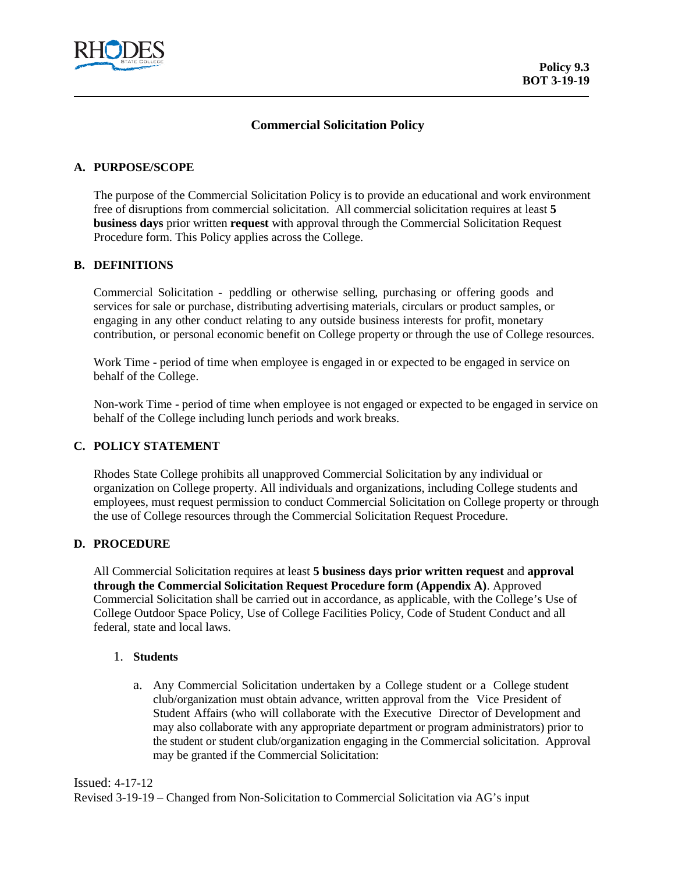

## **Commercial Solicitation Policy**

#### **A. PURPOSE/SCOPE**

The purpose of the Commercial Solicitation Policy is to provide an educational and work environment free of disruptions from commercial solicitation. All commercial solicitation requires at least **5 business days** prior written **request** with approval through the Commercial Solicitation Request Procedure form. This Policy applies across the College.

#### **B. DEFINITIONS**

Commercial Solicitation - peddling or otherwise selling, purchasing or offering goods and services for sale or purchase, distributing advertising materials, circulars or product samples, or engaging in any other conduct relating to any outside business interests for profit, monetary contribution, or personal economic benefit on College property or through the use of College resources.

Work Time - period of time when employee is engaged in or expected to be engaged in service on behalf of the College.

Non-work Time - period of time when employee is not engaged or expected to be engaged in service on behalf of the College including lunch periods and work breaks.

## **C. POLICY STATEMENT**

Rhodes State College prohibits all unapproved Commercial Solicitation by any individual or organization on College property. All individuals and organizations, including College students and employees, must request permission to conduct Commercial Solicitation on College property or through the use of College resources through the Commercial Solicitation Request Procedure.

#### **D. PROCEDURE**

All Commercial Solicitation requires at least **5 business days prior written request** and **approval through the Commercial Solicitation Request Procedure form (Appendix A)**. Approved Commercial Solicitation shall be carried out in accordance, as applicable, with the College's Use of College Outdoor Space Policy, Use of College Facilities Policy, Code of Student Conduct and all federal, state and local laws.

#### 1. **Students**

a. Any Commercial Solicitation undertaken by a College student or a College student club/organization must obtain advance, written approval from the Vice President of Student Affairs (who will collaborate with the Executive Director of Development and may also collaborate with any appropriate department or program administrators) prior to the student or student club/organization engaging in the Commercial solicitation. Approval may be granted if the Commercial Solicitation:

Issued: 4-17-12

Revised 3-19-19 – Changed from Non-Solicitation to Commercial Solicitation via AG's input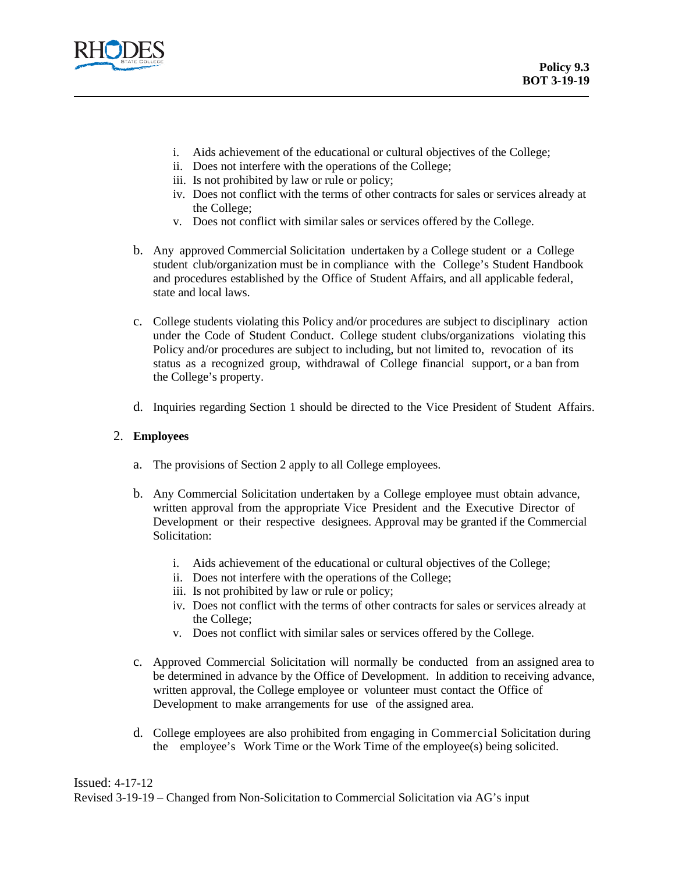

- i. Aids achievement of the educational or cultural objectives of the College;
- ii. Does not interfere with the operations of the College;
- iii. Is not prohibited by law or rule or policy;
- iv. Does not conflict with the terms of other contracts for sales or services already at the College;
- v. Does not conflict with similar sales or services offered by the College.
- b. Any approved Commercial Solicitation undertaken by a College student or a College student club/organization must be in compliance with the College's Student Handbook and procedures established by the Office of Student Affairs, and all applicable federal, state and local laws.
- c. College students violating this Policy and/or procedures are subject to disciplinary action under the Code of Student Conduct. College student clubs/organizations violating this Policy and/or procedures are subject to including, but not limited to, revocation of its status as a recognized group, withdrawal of College financial support, or a ban from the College's property.
- d. Inquiries regarding Section 1 should be directed to the Vice President of Student Affairs.

## 2. **Employees**

- a. The provisions of Section 2 apply to all College employees.
- b. Any Commercial Solicitation undertaken by a College employee must obtain advance, written approval from the appropriate Vice President and the Executive Director of Development or their respective designees. Approval may be granted if the Commercial Solicitation:
	- i. Aids achievement of the educational or cultural objectives of the College;
	- ii. Does not interfere with the operations of the College;
	- iii. Is not prohibited by law or rule or policy;
	- iv. Does not conflict with the terms of other contracts for sales or services already at the College;
	- v. Does not conflict with similar sales or services offered by the College.
- c. Approved Commercial Solicitation will normally be conducted from an assigned area to be determined in advance by the Office of Development. In addition to receiving advance, written approval, the College employee or volunteer must contact the Office of Development to make arrangements for use of the assigned area.
- d. College employees are also prohibited from engaging in Commercial Solicitation during the employee's Work Time or the Work Time of the employee(s) being solicited.

Issued: 4-17-12 Revised 3-19-19 – Changed from Non-Solicitation to Commercial Solicitation via AG's input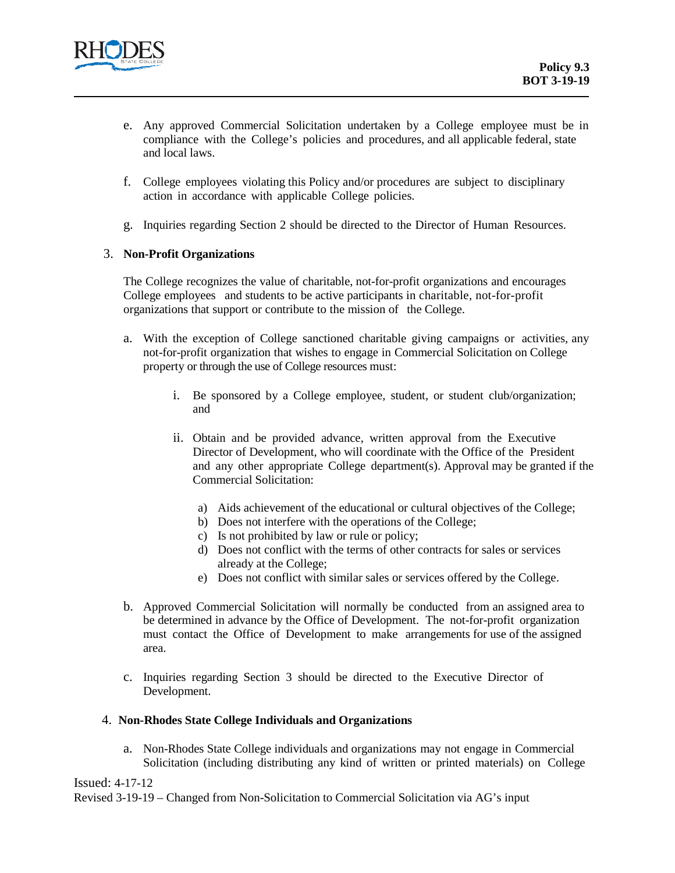

- e. Any approved Commercial Solicitation undertaken by a College employee must be in compliance with the College's policies and procedures, and all applicable federal, state and local laws.
- f. College employees violating this Policy and/or procedures are subject to disciplinary action in accordance with applicable College policies.
- g. Inquiries regarding Section 2 should be directed to the Director of Human Resources.

## 3. **Non-Profit Organizations**

The College recognizes the value of charitable, not-for-profit organizations and encourages College employees and students to be active participants in charitable, not-for-profit organizations that support or contribute to the mission of the College.

- a. With the exception of College sanctioned charitable giving campaigns or activities, any not-for-profit organization that wishes to engage in Commercial Solicitation on College property or through the use of College resources must:
	- i. Be sponsored by a College employee, student, or student club/organization; and
	- ii. Obtain and be provided advance, written approval from the Executive Director of Development, who will coordinate with the Office of the President and any other appropriate College department(s). Approval may be granted if the Commercial Solicitation:
		- a) Aids achievement of the educational or cultural objectives of the College;
		- b) Does not interfere with the operations of the College;
		- c) Is not prohibited by law or rule or policy;
		- d) Does not conflict with the terms of other contracts for sales or services already at the College;
		- e) Does not conflict with similar sales or services offered by the College.
- b. Approved Commercial Solicitation will normally be conducted from an assigned area to be determined in advance by the Office of Development. The not-for-profit organization must contact the Office of Development to make arrangements for use of the assigned area.
- c. Inquiries regarding Section 3 should be directed to the Executive Director of Development.

#### 4. **Non-Rhodes State College Individuals and Organizations**

a. Non-Rhodes State College individuals and organizations may not engage in Commercial Solicitation (including distributing any kind of written or printed materials) on College

Issued: 4-17-12

Revised 3-19-19 – Changed from Non-Solicitation to Commercial Solicitation via AG's input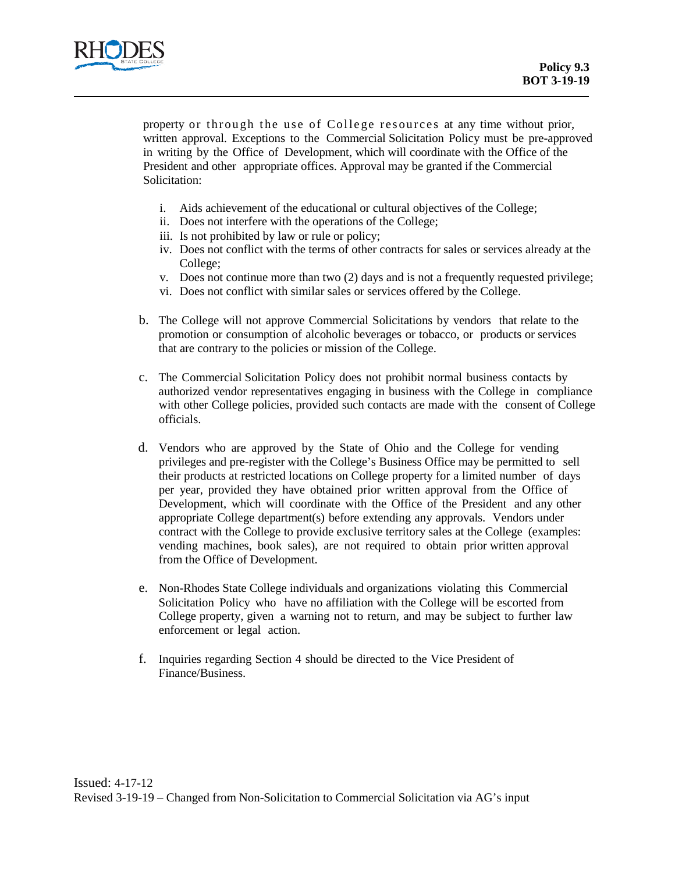

property or through the use of College resources at any time without prior, written approval. Exceptions to the Commercial Solicitation Policy must be pre-approved in writing by the Office of Development, which will coordinate with the Office of the President and other appropriate offices. Approval may be granted if the Commercial Solicitation:

- i. Aids achievement of the educational or cultural objectives of the College;
- ii. Does not interfere with the operations of the College;
- iii. Is not prohibited by law or rule or policy;
- iv. Does not conflict with the terms of other contracts for sales or services already at the College;
- v. Does not continue more than two (2) days and is not a frequently requested privilege;
- vi. Does not conflict with similar sales or services offered by the College.
- b. The College will not approve Commercial Solicitations by vendors that relate to the promotion or consumption of alcoholic beverages or tobacco, or products or services that are contrary to the policies or mission of the College.
- c. The Commercial Solicitation Policy does not prohibit normal business contacts by authorized vendor representatives engaging in business with the College in compliance with other College policies, provided such contacts are made with the consent of College officials.
- d. Vendors who are approved by the State of Ohio and the College for vending privileges and pre-register with the College's Business Office may be permitted to sell their products at restricted locations on College property for a limited number of days per year, provided they have obtained prior written approval from the Office of Development, which will coordinate with the Office of the President and any other appropriate College department(s) before extending any approvals. Vendors under contract with the College to provide exclusive territory sales at the College (examples: vending machines, book sales), are not required to obtain prior written approval from the Office of Development.
- e. Non-Rhodes State College individuals and organizations violating this Commercial Solicitation Policy who have no affiliation with the College will be escorted from College property, given a warning not to return, and may be subject to further law enforcement or legal action.
- f. Inquiries regarding Section 4 should be directed to the Vice President of Finance/Business.